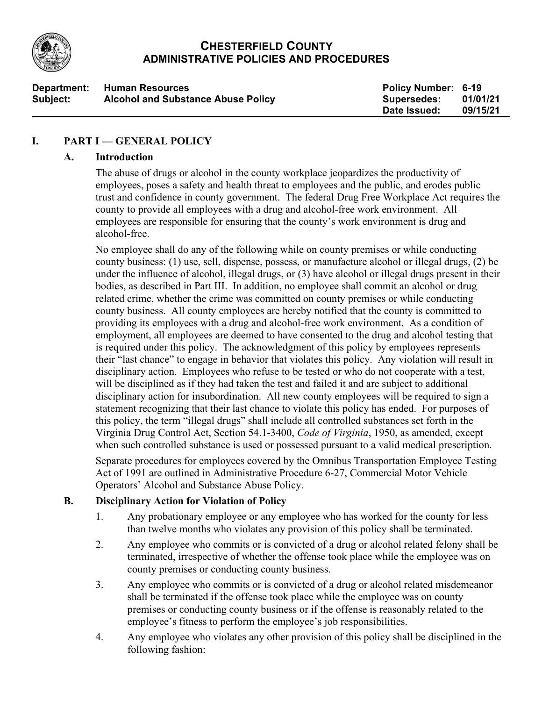

## **CHESTERFIELD COUNTY ADMINISTRATIVE POLICIES AND PROCEDURES**

| Department: | <b>Human Resources</b>                    | <b>Policy Number: 6-19</b> |          |
|-------------|-------------------------------------------|----------------------------|----------|
| Subject:    | <b>Alcohol and Substance Abuse Policy</b> | Supersedes:                | 01/01/21 |
|             |                                           | Date Issued:               | 09/15/21 |

## **I. PART I — GENERAL POLICY**

#### **A. Introduction**

The abuse of drugs or alcohol in the county workplace jeopardizes the productivity of employees, poses a safety and health threat to employees and the public, and erodes public trust and confidence in county government. The federal Drug Free Workplace Act requires the county to provide all employees with a drug and alcohol-free work environment. All employees are responsible for ensuring that the county's work environment is drug and alcohol-free.

No employee shall do any of the following while on county premises or while conducting county business: (1) use, sell, dispense, possess, or manufacture alcohol or illegal drugs, (2) be under the influence of alcohol, illegal drugs, or (3) have alcohol or illegal drugs present in their bodies, as described in Part III. In addition, no employee shall commit an alcohol or drug related crime, whether the crime was committed on county premises or while conducting county business. All county employees are hereby notified that the county is committed to providing its employees with a drug and alcohol-free work environment. As a condition of employment, all employees are deemed to have consented to the drug and alcohol testing that is required under this policy. The acknowledgment of this policy by employees represents their "last chance" to engage in behavior that violates this policy. Any violation will result in disciplinary action. Employees who refuse to be tested or who do not cooperate with a test, will be disciplined as if they had taken the test and failed it and are subject to additional disciplinary action for insubordination. All new county employees will be required to sign a statement recognizing that their last chance to violate this policy has ended. For purposes of this policy, the term "illegal drugs" shall include all controlled substances set forth in the Virginia Drug Control Act, Section 54.1-3400, *Code of Virginia*, 1950, as amended, except when such controlled substance is used or possessed pursuant to a valid medical prescription.

Separate procedures for employees covered by the Omnibus Transportation Employee Testing Act of 1991 are outlined in Administrative Procedure 6-27, Commercial Motor Vehicle Operators' Alcohol and Substance Abuse Policy.

#### **B. Disciplinary Action for Violation of Policy**

- 1. Any probationary employee or any employee who has worked for the county for less than twelve months who violates any provision of this policy shall be terminated.
- 2. Any employee who commits or is convicted of a drug or alcohol related felony shall be terminated, irrespective of whether the offense took place while the employee was on county premises or conducting county business.
- 3. Any employee who commits or is convicted of a drug or alcohol related misdemeanor shall be terminated if the offense took place while the employee was on county premises or conducting county business or if the offense is reasonably related to the employee's fitness to perform the employee's job responsibilities.
- 4. Any employee who violates any other provision of this policy shall be disciplined in the following fashion: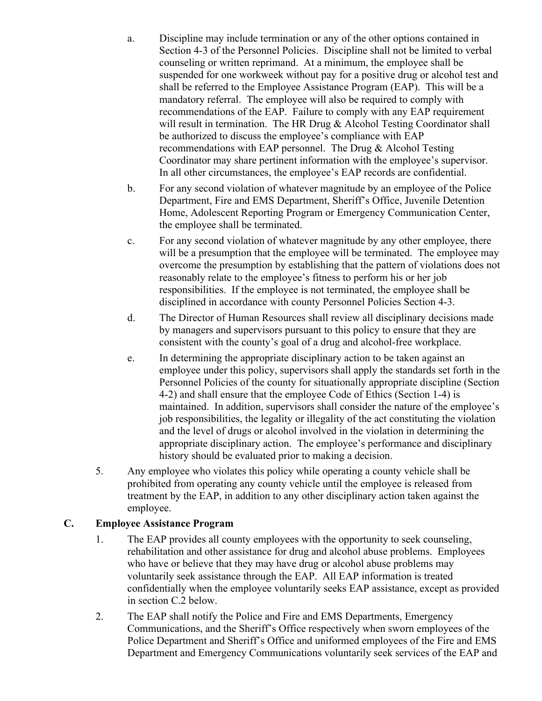- a. Discipline may include termination or any of the other options contained in Section 4-3 of the Personnel Policies. Discipline shall not be limited to verbal counseling or written reprimand. At a minimum, the employee shall be suspended for one workweek without pay for a positive drug or alcohol test and shall be referred to the Employee Assistance Program (EAP). This will be a mandatory referral. The employee will also be required to comply with recommendations of the EAP. Failure to comply with any EAP requirement will result in termination. The HR Drug & Alcohol Testing Coordinator shall be authorized to discuss the employee's compliance with EAP recommendations with EAP personnel. The Drug & Alcohol Testing Coordinator may share pertinent information with the employee's supervisor. In all other circumstances, the employee's EAP records are confidential.
- b. For any second violation of whatever magnitude by an employee of the Police Department, Fire and EMS Department, Sheriff's Office, Juvenile Detention Home, Adolescent Reporting Program or Emergency Communication Center, the employee shall be terminated.
- c. For any second violation of whatever magnitude by any other employee, there will be a presumption that the employee will be terminated. The employee may overcome the presumption by establishing that the pattern of violations does not reasonably relate to the employee's fitness to perform his or her job responsibilities. If the employee is not terminated, the employee shall be disciplined in accordance with county Personnel Policies Section 4-3.
- d. The Director of Human Resources shall review all disciplinary decisions made by managers and supervisors pursuant to this policy to ensure that they are consistent with the county's goal of a drug and alcohol-free workplace.
- e. In determining the appropriate disciplinary action to be taken against an employee under this policy, supervisors shall apply the standards set forth in the Personnel Policies of the county for situationally appropriate discipline (Section 4-2) and shall ensure that the employee Code of Ethics (Section 1-4) is maintained. In addition, supervisors shall consider the nature of the employee's job responsibilities, the legality or illegality of the act constituting the violation and the level of drugs or alcohol involved in the violation in determining the appropriate disciplinary action. The employee's performance and disciplinary history should be evaluated prior to making a decision.
- 5. Any employee who violates this policy while operating a county vehicle shall be prohibited from operating any county vehicle until the employee is released from treatment by the EAP, in addition to any other disciplinary action taken against the employee.

#### **C. Employee Assistance Program**

- 1. The EAP provides all county employees with the opportunity to seek counseling, rehabilitation and other assistance for drug and alcohol abuse problems. Employees who have or believe that they may have drug or alcohol abuse problems may voluntarily seek assistance through the EAP. All EAP information is treated confidentially when the employee voluntarily seeks EAP assistance, except as provided in section C.2 below.
- 2. The EAP shall notify the Police and Fire and EMS Departments, Emergency Communications, and the Sheriff's Office respectively when sworn employees of the Police Department and Sheriff's Office and uniformed employees of the Fire and EMS Department and Emergency Communications voluntarily seek services of the EAP and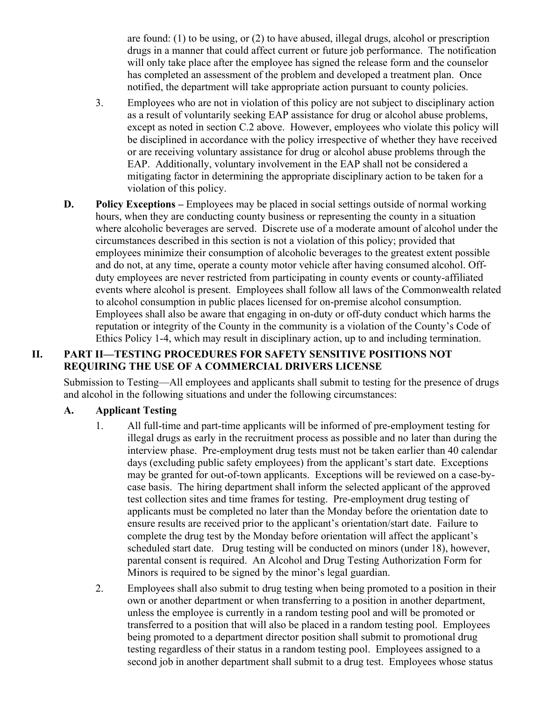are found: (1) to be using, or (2) to have abused, illegal drugs, alcohol or prescription drugs in a manner that could affect current or future job performance. The notification will only take place after the employee has signed the release form and the counselor has completed an assessment of the problem and developed a treatment plan. Once notified, the department will take appropriate action pursuant to county policies.

- 3. Employees who are not in violation of this policy are not subject to disciplinary action as a result of voluntarily seeking EAP assistance for drug or alcohol abuse problems, except as noted in section C.2 above. However, employees who violate this policy will be disciplined in accordance with the policy irrespective of whether they have received or are receiving voluntary assistance for drug or alcohol abuse problems through the EAP. Additionally, voluntary involvement in the EAP shall not be considered a mitigating factor in determining the appropriate disciplinary action to be taken for a violation of this policy.
- **D. Policy Exceptions** Employees may be placed in social settings outside of normal working hours, when they are conducting county business or representing the county in a situation where alcoholic beverages are served. Discrete use of a moderate amount of alcohol under the circumstances described in this section is not a violation of this policy; provided that employees minimize their consumption of alcoholic beverages to the greatest extent possible and do not, at any time, operate a county motor vehicle after having consumed alcohol. Offduty employees are never restricted from participating in county events or county-affiliated events where alcohol is present. Employees shall follow all laws of the Commonwealth related to alcohol consumption in public places licensed for on-premise alcohol consumption. Employees shall also be aware that engaging in on-duty or off-duty conduct which harms the reputation or integrity of the County in the community is a violation of the County's Code of Ethics Policy 1-4, which may result in disciplinary action, up to and including termination.

## **II. PART II—TESTING PROCEDURES FOR SAFETY SENSITIVE POSITIONS NOT REQUIRING THE USE OF A COMMERCIAL DRIVERS LICENSE**

Submission to Testing—All employees and applicants shall submit to testing for the presence of drugs and alcohol in the following situations and under the following circumstances:

#### **A. Applicant Testing**

- 1. All full-time and part-time applicants will be informed of pre-employment testing for illegal drugs as early in the recruitment process as possible and no later than during the interview phase. Pre-employment drug tests must not be taken earlier than 40 calendar days (excluding public safety employees) from the applicant's start date. Exceptions may be granted for out-of-town applicants. Exceptions will be reviewed on a case-bycase basis. The hiring department shall inform the selected applicant of the approved test collection sites and time frames for testing. Pre-employment drug testing of applicants must be completed no later than the Monday before the orientation date to ensure results are received prior to the applicant's orientation/start date. Failure to complete the drug test by the Monday before orientation will affect the applicant's scheduled start date. Drug testing will be conducted on minors (under 18), however, parental consent is required. An Alcohol and Drug Testing Authorization Form for Minors is required to be signed by the minor's legal guardian.
- 2. Employees shall also submit to drug testing when being promoted to a position in their own or another department or when transferring to a position in another department, unless the employee is currently in a random testing pool and will be promoted or transferred to a position that will also be placed in a random testing pool. Employees being promoted to a department director position shall submit to promotional drug testing regardless of their status in a random testing pool. Employees assigned to a second job in another department shall submit to a drug test. Employees whose status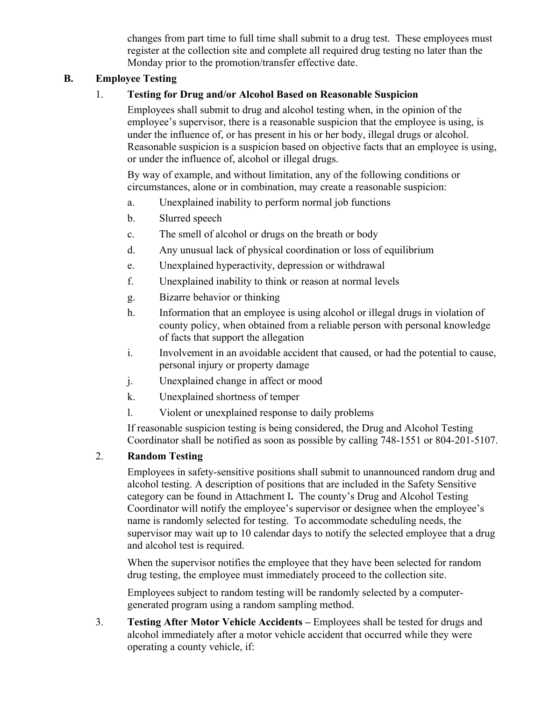changes from part time to full time shall submit to a drug test. These employees must register at the collection site and complete all required drug testing no later than the Monday prior to the promotion/transfer effective date.

## **B. Employee Testing**

## 1. **Testing for Drug and/or Alcohol Based on Reasonable Suspicion**

Employees shall submit to drug and alcohol testing when, in the opinion of the employee's supervisor, there is a reasonable suspicion that the employee is using, is under the influence of, or has present in his or her body, illegal drugs or alcohol. Reasonable suspicion is a suspicion based on objective facts that an employee is using, or under the influence of, alcohol or illegal drugs.

By way of example, and without limitation, any of the following conditions or circumstances, alone or in combination, may create a reasonable suspicion:

- a. Unexplained inability to perform normal job functions
- b. Slurred speech
- c. The smell of alcohol or drugs on the breath or body
- d. Any unusual lack of physical coordination or loss of equilibrium
- e. Unexplained hyperactivity, depression or withdrawal
- f. Unexplained inability to think or reason at normal levels
- g. Bizarre behavior or thinking
- h. Information that an employee is using alcohol or illegal drugs in violation of county policy, when obtained from a reliable person with personal knowledge of facts that support the allegation
- i. Involvement in an avoidable accident that caused, or had the potential to cause, personal injury or property damage
- j. Unexplained change in affect or mood
- k. Unexplained shortness of temper
- l. Violent or unexplained response to daily problems

If reasonable suspicion testing is being considered, the Drug and Alcohol Testing Coordinator shall be notified as soon as possible by calling 748-1551 or 804-201-5107.

#### 2. **Random Testing**

Employees in safety-sensitive positions shall submit to unannounced random drug and alcohol testing. A description of positions that are included in the Safety Sensitive category can be found in Attachment I**.** The county's Drug and Alcohol Testing Coordinator will notify the employee's supervisor or designee when the employee's name is randomly selected for testing. To accommodate scheduling needs, the supervisor may wait up to 10 calendar days to notify the selected employee that a drug and alcohol test is required.

When the supervisor notifies the employee that they have been selected for random drug testing, the employee must immediately proceed to the collection site.

Employees subject to random testing will be randomly selected by a computergenerated program using a random sampling method.

3. **Testing After Motor Vehicle Accidents** *–* Employees shall be tested for drugs and alcohol immediately after a motor vehicle accident that occurred while they were operating a county vehicle, if: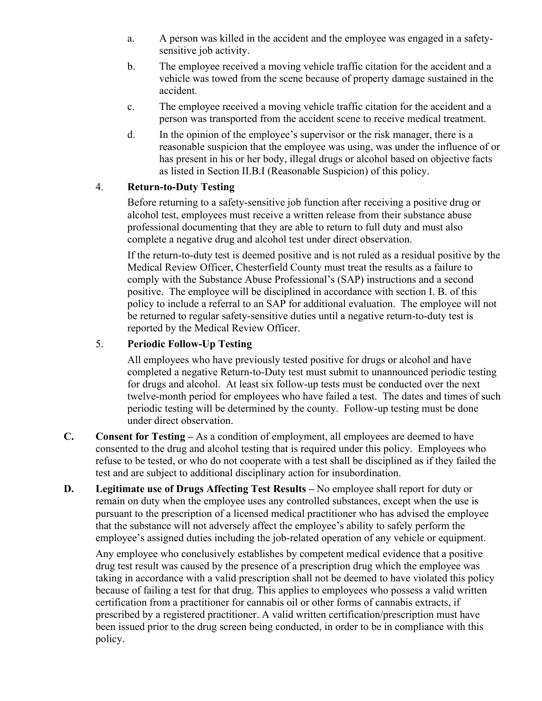- a. A person was killed in the accident and the employee was engaged in a safetysensitive job activity.
- b. The employee received a moving vehicle traffic citation for the accident and a vehicle was towed from the scene because of property damage sustained in the accident.
- c. The employee received a moving vehicle traffic citation for the accident and a person was transported from the accident scene to receive medical treatment.
- d. In the opinion of the employee's supervisor or the risk manager, there is a reasonable suspicion that the employee was using, was under the influence of or has present in his or her body, illegal drugs or alcohol based on objective facts as listed in Section II.B.I (Reasonable Suspicion) of this policy.

## 4. **Return-to-Duty Testing**

Before returning to a safety-sensitive job function after receiving a positive drug or alcohol test, employees must receive a written release from their substance abuse professional documenting that they are able to return to full duty and must also complete a negative drug and alcohol test under direct observation.

If the return-to-duty test is deemed positive and is not ruled as a residual positive by the Medical Review Officer, Chesterfield County must treat the results as a failure to comply with the Substance Abuse Professional's (SAP) instructions and a second positive. The employee will be disciplined in accordance with section I. B. of this policy to include a referral to an SAP for additional evaluation. The employee will not be returned to regular safety-sensitive duties until a negative return-to-duty test is reported by the Medical Review Officer.

## 5. **Periodic Follow-Up Testing**

All employees who have previously tested positive for drugs or alcohol and have completed a negative Return-to-Duty test must submit to unannounced periodic testing for drugs and alcohol. At least six follow-up tests must be conducted over the next twelve-month period for employees who have failed a test. The dates and times of such periodic testing will be determined by the county. Follow-up testing must be done under direct observation.

- **C. Consent for Testing –** As a condition of employment, all employees are deemed to have consented to the drug and alcohol testing that is required under this policy. Employees who refuse to be tested, or who do not cooperate with a test shall be disciplined as if they failed the test and are subject to additional disciplinary action for insubordination.
- **D. Legitimate use of Drugs Affecting Test Results –** No employee shall report for duty or remain on duty when the employee uses any controlled substances, except when the use is pursuant to the prescription of a licensed medical practitioner who has advised the employee that the substance will not adversely affect the employee's ability to safely perform the employee's assigned duties including the job-related operation of any vehicle or equipment.

Any employee who conclusively establishes by competent medical evidence that a positive drug test result was caused by the presence of a prescription drug which the employee was taking in accordance with a valid prescription shall not be deemed to have violated this policy because of failing a test for that drug. This applies to employees who possess a valid written certification from a practitioner for cannabis oil or other forms of cannabis extracts, if prescribed by a registered practitioner. A valid written certification/prescription must have been issued prior to the drug screen being conducted, in order to be in compliance with this policy.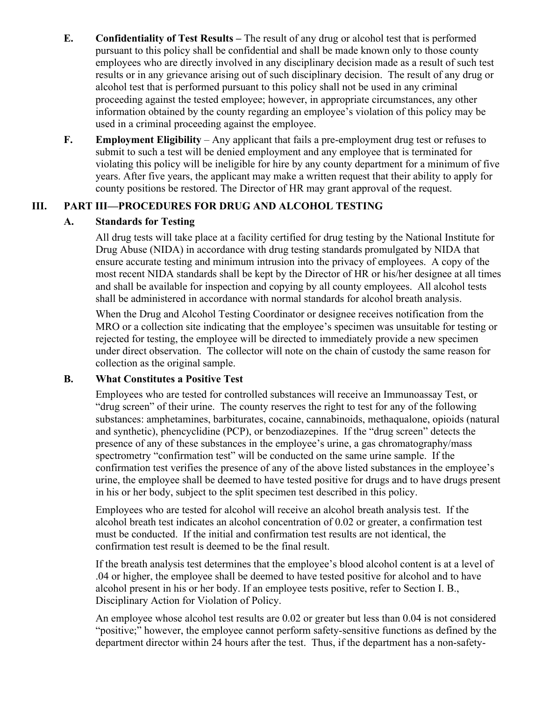- **E. Confidentiality of Test Results –** The result of any drug or alcohol test that is performed pursuant to this policy shall be confidential and shall be made known only to those county employees who are directly involved in any disciplinary decision made as a result of such test results or in any grievance arising out of such disciplinary decision. The result of any drug or alcohol test that is performed pursuant to this policy shall not be used in any criminal proceeding against the tested employee; however, in appropriate circumstances, any other information obtained by the county regarding an employee's violation of this policy may be used in a criminal proceeding against the employee.
- **F. Employment Eligibility** Any applicant that fails a pre-employment drug test or refuses to submit to such a test will be denied employment and any employee that is terminated for violating this policy will be ineligible for hire by any county department for a minimum of five years. After five years, the applicant may make a written request that their ability to apply for county positions be restored. The Director of HR may grant approval of the request.

## **III. PART III—PROCEDURES FOR DRUG AND ALCOHOL TESTING**

## **A. Standards for Testing**

All drug tests will take place at a facility certified for drug testing by the National Institute for Drug Abuse (NIDA) in accordance with drug testing standards promulgated by NIDA that ensure accurate testing and minimum intrusion into the privacy of employees. A copy of the most recent NIDA standards shall be kept by the Director of HR or his/her designee at all times and shall be available for inspection and copying by all county employees. All alcohol tests shall be administered in accordance with normal standards for alcohol breath analysis.

When the Drug and Alcohol Testing Coordinator or designee receives notification from the MRO or a collection site indicating that the employee's specimen was unsuitable for testing or rejected for testing, the employee will be directed to immediately provide a new specimen under direct observation. The collector will note on the chain of custody the same reason for collection as the original sample.

#### **B. What Constitutes a Positive Test**

Employees who are tested for controlled substances will receive an Immunoassay Test, or "drug screen" of their urine. The county reserves the right to test for any of the following substances: amphetamines, barbiturates, cocaine, cannabinoids, methaqualone, opioids (natural and synthetic), phencyclidine (PCP), or benzodiazepines. If the "drug screen" detects the presence of any of these substances in the employee's urine, a gas chromatography/mass spectrometry "confirmation test" will be conducted on the same urine sample. If the confirmation test verifies the presence of any of the above listed substances in the employee's urine, the employee shall be deemed to have tested positive for drugs and to have drugs present in his or her body, subject to the split specimen test described in this policy.

Employees who are tested for alcohol will receive an alcohol breath analysis test. If the alcohol breath test indicates an alcohol concentration of 0.02 or greater, a confirmation test must be conducted. If the initial and confirmation test results are not identical, the confirmation test result is deemed to be the final result.

If the breath analysis test determines that the employee's blood alcohol content is at a level of .04 or higher, the employee shall be deemed to have tested positive for alcohol and to have alcohol present in his or her body. If an employee tests positive, refer to Section I. B., Disciplinary Action for Violation of Policy.

An employee whose alcohol test results are 0.02 or greater but less than 0.04 is not considered "positive;" however, the employee cannot perform safety-sensitive functions as defined by the department director within 24 hours after the test. Thus, if the department has a non-safety-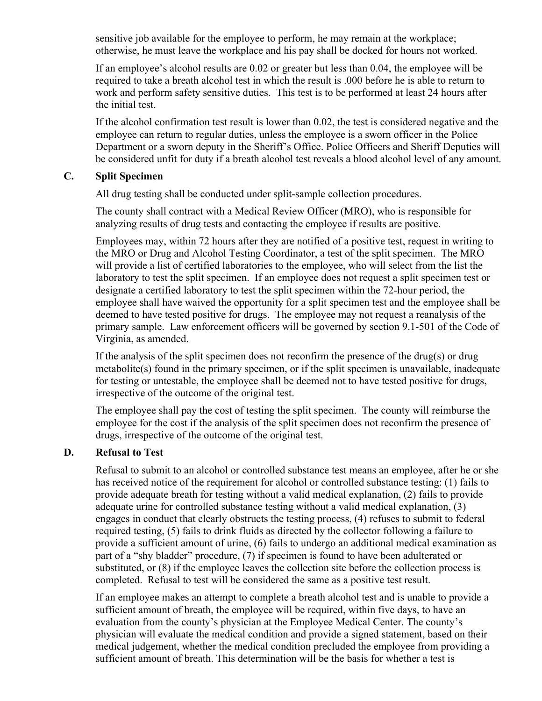sensitive job available for the employee to perform, he may remain at the workplace; otherwise, he must leave the workplace and his pay shall be docked for hours not worked.

If an employee's alcohol results are 0.02 or greater but less than 0.04, the employee will be required to take a breath alcohol test in which the result is .000 before he is able to return to work and perform safety sensitive duties. This test is to be performed at least 24 hours after the initial test.

If the alcohol confirmation test result is lower than 0.02, the test is considered negative and the employee can return to regular duties, unless the employee is a sworn officer in the Police Department or a sworn deputy in the Sheriff's Office. Police Officers and Sheriff Deputies will be considered unfit for duty if a breath alcohol test reveals a blood alcohol level of any amount.

## **C. Split Specimen**

All drug testing shall be conducted under split-sample collection procedures.

The county shall contract with a Medical Review Officer (MRO), who is responsible for analyzing results of drug tests and contacting the employee if results are positive.

Employees may, within 72 hours after they are notified of a positive test, request in writing to the MRO or Drug and Alcohol Testing Coordinator, a test of the split specimen. The MRO will provide a list of certified laboratories to the employee, who will select from the list the laboratory to test the split specimen. If an employee does not request a split specimen test or designate a certified laboratory to test the split specimen within the 72-hour period, the employee shall have waived the opportunity for a split specimen test and the employee shall be deemed to have tested positive for drugs. The employee may not request a reanalysis of the primary sample. Law enforcement officers will be governed by section 9.1-501 of the Code of Virginia, as amended.

If the analysis of the split specimen does not reconfirm the presence of the drug(s) or drug metabolite(s) found in the primary specimen, or if the split specimen is unavailable, inadequate for testing or untestable, the employee shall be deemed not to have tested positive for drugs, irrespective of the outcome of the original test.

The employee shall pay the cost of testing the split specimen. The county will reimburse the employee for the cost if the analysis of the split specimen does not reconfirm the presence of drugs, irrespective of the outcome of the original test.

#### **D. Refusal to Test**

Refusal to submit to an alcohol or controlled substance test means an employee, after he or she has received notice of the requirement for alcohol or controlled substance testing: (1) fails to provide adequate breath for testing without a valid medical explanation, (2) fails to provide adequate urine for controlled substance testing without a valid medical explanation, (3) engages in conduct that clearly obstructs the testing process, (4) refuses to submit to federal required testing, (5) fails to drink fluids as directed by the collector following a failure to provide a sufficient amount of urine, (6) fails to undergo an additional medical examination as part of a "shy bladder" procedure, (7) if specimen is found to have been adulterated or substituted, or (8) if the employee leaves the collection site before the collection process is completed. Refusal to test will be considered the same as a positive test result.

If an employee makes an attempt to complete a breath alcohol test and is unable to provide a sufficient amount of breath, the employee will be required, within five days, to have an evaluation from the county's physician at the Employee Medical Center. The county's physician will evaluate the medical condition and provide a signed statement, based on their medical judgement, whether the medical condition precluded the employee from providing a sufficient amount of breath. This determination will be the basis for whether a test is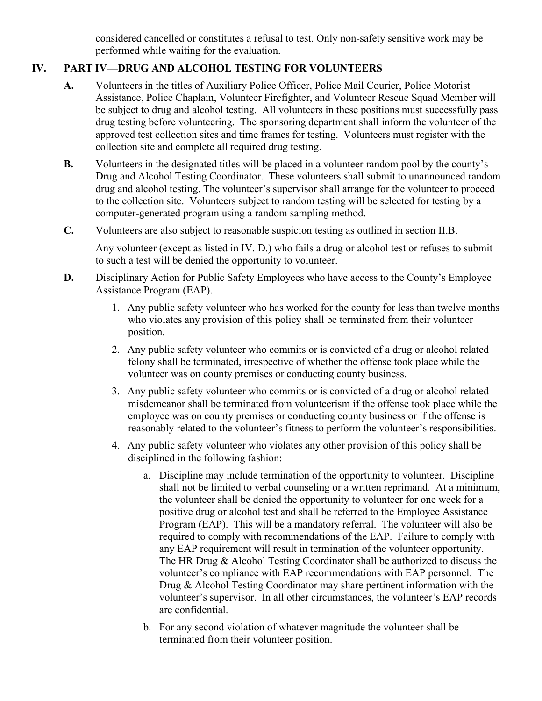considered cancelled or constitutes a refusal to test. Only non-safety sensitive work may be performed while waiting for the evaluation.

# **IV. PART IV—DRUG AND ALCOHOL TESTING FOR VOLUNTEERS**

- **A.** Volunteers in the titles of Auxiliary Police Officer, Police Mail Courier, Police Motorist Assistance, Police Chaplain, Volunteer Firefighter, and Volunteer Rescue Squad Member will be subject to drug and alcohol testing. All volunteers in these positions must successfully pass drug testing before volunteering. The sponsoring department shall inform the volunteer of the approved test collection sites and time frames for testing. Volunteers must register with the collection site and complete all required drug testing.
- **B.** Volunteers in the designated titles will be placed in a volunteer random pool by the county's Drug and Alcohol Testing Coordinator. These volunteers shall submit to unannounced random drug and alcohol testing. The volunteer's supervisor shall arrange for the volunteer to proceed to the collection site. Volunteers subject to random testing will be selected for testing by a computer-generated program using a random sampling method.
- **C.** Volunteers are also subject to reasonable suspicion testing as outlined in section II.B.

Any volunteer (except as listed in IV. D.) who fails a drug or alcohol test or refuses to submit to such a test will be denied the opportunity to volunteer.

- **D.** Disciplinary Action for Public Safety Employees who have access to the County's Employee Assistance Program (EAP).
	- 1. Any public safety volunteer who has worked for the county for less than twelve months who violates any provision of this policy shall be terminated from their volunteer position.
	- 2. Any public safety volunteer who commits or is convicted of a drug or alcohol related felony shall be terminated, irrespective of whether the offense took place while the volunteer was on county premises or conducting county business.
	- 3. Any public safety volunteer who commits or is convicted of a drug or alcohol related misdemeanor shall be terminated from volunteerism if the offense took place while the employee was on county premises or conducting county business or if the offense is reasonably related to the volunteer's fitness to perform the volunteer's responsibilities.
	- 4. Any public safety volunteer who violates any other provision of this policy shall be disciplined in the following fashion:
		- a. Discipline may include termination of the opportunity to volunteer. Discipline shall not be limited to verbal counseling or a written reprimand. At a minimum, the volunteer shall be denied the opportunity to volunteer for one week for a positive drug or alcohol test and shall be referred to the Employee Assistance Program (EAP). This will be a mandatory referral. The volunteer will also be required to comply with recommendations of the EAP. Failure to comply with any EAP requirement will result in termination of the volunteer opportunity. The HR Drug & Alcohol Testing Coordinator shall be authorized to discuss the volunteer's compliance with EAP recommendations with EAP personnel. The Drug & Alcohol Testing Coordinator may share pertinent information with the volunteer's supervisor. In all other circumstances, the volunteer's EAP records are confidential.
		- b. For any second violation of whatever magnitude the volunteer shall be terminated from their volunteer position.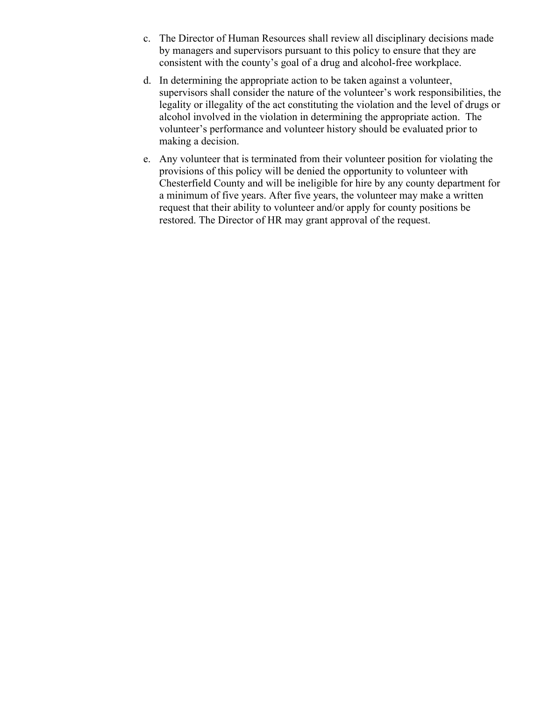- c. The Director of Human Resources shall review all disciplinary decisions made by managers and supervisors pursuant to this policy to ensure that they are consistent with the county's goal of a drug and alcohol-free workplace.
- d. In determining the appropriate action to be taken against a volunteer, supervisors shall consider the nature of the volunteer's work responsibilities, the legality or illegality of the act constituting the violation and the level of drugs or alcohol involved in the violation in determining the appropriate action. The volunteer's performance and volunteer history should be evaluated prior to making a decision.
- e. Any volunteer that is terminated from their volunteer position for violating the provisions of this policy will be denied the opportunity to volunteer with Chesterfield County and will be ineligible for hire by any county department for a minimum of five years. After five years, the volunteer may make a written request that their ability to volunteer and/or apply for county positions be restored. The Director of HR may grant approval of the request.